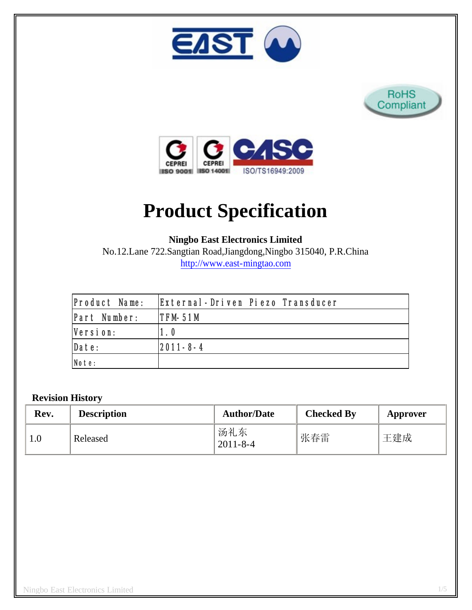





# **Product Specification**

**Ningbo East Electronics Limited**

No.12.Lane 722.Sangtian Road,Jiangdong,Ningbo 315040, P.R.China http://www.east-mingtao.com

| <b>Product Name:</b> | External-Driven Piezo Transducer |
|----------------------|----------------------------------|
| Part Number:         | $IFM-51M$                        |
| Version:             | 1.0                              |
| Date:                | $ 2011 - 8 - 4 $                 |
| Note:                |                                  |

## **Revision History**

| Rev. | <b>Description</b> | <b>Author/Date</b>    | <b>Checked By</b> | Approver |
|------|--------------------|-----------------------|-------------------|----------|
|      | Released           | 汤礼东<br>$2011 - 8 - 4$ | 张春雷               | 王建成      |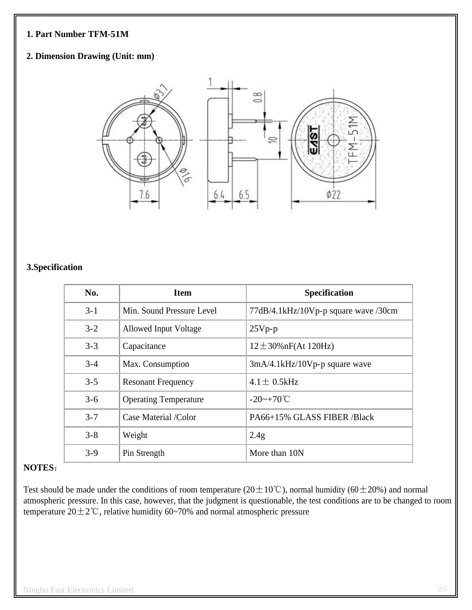#### **1. Part Number TFM-51M**

## **2. Dimension Drawing (Unit: mm)**



#### **3.Specification**

| No.     | <b>Item</b>                  | <b>Specification</b>                 |
|---------|------------------------------|--------------------------------------|
| $3 - 1$ | Min. Sound Pressure Level    | 77dB/4.1kHz/10Vp-p square wave /30cm |
| $3 - 2$ | Allowed Input Voltage        | $25Vp-p$                             |
| $3 - 3$ | Capacitance                  | $12 \pm 30\%$ nF(At 120Hz)           |
| $3 - 4$ | Max. Consumption             | $3mA/4.1kHz/10Vp-p$ square wave      |
| $3 - 5$ | <b>Resonant Frequency</b>    | $4.1 \pm 0.5$ kHz                    |
| $3 - 6$ | <b>Operating Temperature</b> | $-20$ ~ $+70^{\circ}$ C              |
| $3 - 7$ | Case Material /Color         | PA66+15% GLASS FIBER /Black          |
| $3 - 8$ | Weight                       | 2.4g                                 |
| $3 - 9$ | Pin Strength                 | More than 10N                        |

#### **NOTES**:

Test should be made under the conditions of room temperature ( $20 \pm 10^{\circ}$ C), normal humidity ( $60 \pm 20$ %) and normal atmospheric pressure. In this case, however, that the judgment is questionable, the test conditions are to be changed to room temperature  $20 \pm 2^{\circ}$ C, relative humidity 60~70% and normal atmospheric pressure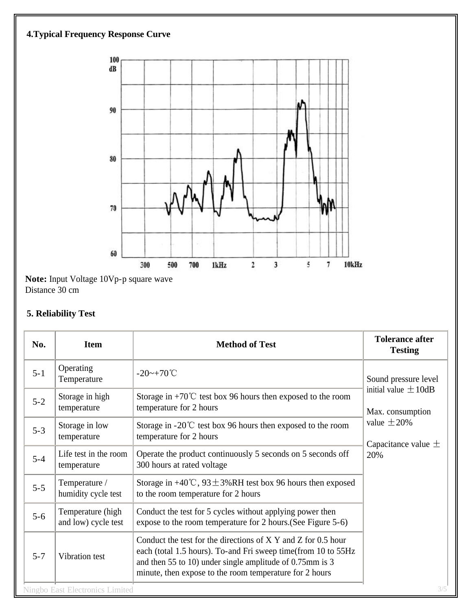# **4.Typical Frequency Response Curve**



**Note:** Input Voltage 10Vp-p square wave Distance 30 cm

# **5. Reliability Test**

| No.     | <b>Item</b>                                   | <b>Method of Test</b>                                                                                                                                                                                                                                 | <b>Tolerance after</b><br><b>Testing</b>                                                            |  |  |
|---------|-----------------------------------------------|-------------------------------------------------------------------------------------------------------------------------------------------------------------------------------------------------------------------------------------------------------|-----------------------------------------------------------------------------------------------------|--|--|
| $5 - 1$ | Operating<br>Temperature                      | $-20$ ~+70°C                                                                                                                                                                                                                                          | Sound pressure level                                                                                |  |  |
| $5 - 2$ | Storage in high<br>temperature                | Storage in +70 $\degree$ C test box 96 hours then exposed to the room<br>temperature for 2 hours                                                                                                                                                      | initial value $\pm 10$ dB<br>Max. consumption<br>value $\pm 20\%$<br>Capacitance value $\pm$<br>20% |  |  |
| $5 - 3$ | Storage in low<br>temperature                 | Storage in -20 $\degree$ C test box 96 hours then exposed to the room<br>temperature for 2 hours                                                                                                                                                      |                                                                                                     |  |  |
| $5 - 4$ | Life test in the room<br>temperature          | Operate the product continuously 5 seconds on 5 seconds off<br>300 hours at rated voltage                                                                                                                                                             |                                                                                                     |  |  |
| $5 - 5$ | Temperature /<br>humidity cycle test          | Storage in +40°C, $93 \pm 3\%$ RH test box 96 hours then exposed<br>to the room temperature for 2 hours                                                                                                                                               |                                                                                                     |  |  |
| $5 - 6$ | Temperature (high<br>and low) cycle test      | Conduct the test for 5 cycles without applying power then<br>expose to the room temperature for 2 hours. (See Figure 5-6)                                                                                                                             |                                                                                                     |  |  |
| $5 - 7$ | Vibration test                                | Conduct the test for the directions of X Y and Z for 0.5 hour<br>each (total 1.5 hours). To-and Fri sweep time(from 10 to 55Hz<br>and then 55 to 10) under single amplitude of 0.75mm is 3<br>minute, then expose to the room temperature for 2 hours |                                                                                                     |  |  |
|         | 3/5<br><b>Ningbo East Electronics Limited</b> |                                                                                                                                                                                                                                                       |                                                                                                     |  |  |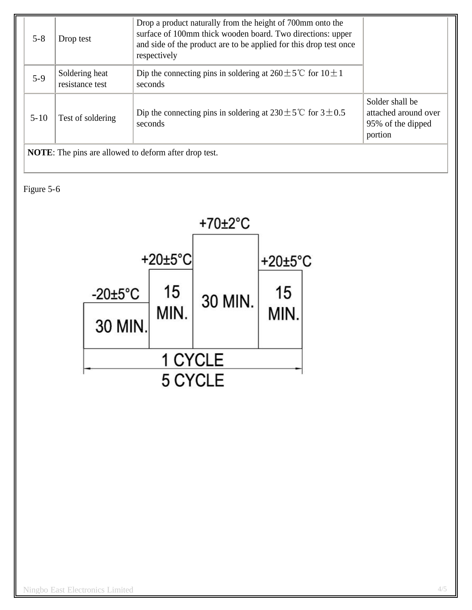| $5 - 8$                                                      | Drop test                         | Drop a product naturally from the height of 700mm onto the<br>surface of 100mm thick wooden board. Two directions: upper<br>and side of the product are to be applied for this drop test once<br>respectively |                                                                         |
|--------------------------------------------------------------|-----------------------------------|---------------------------------------------------------------------------------------------------------------------------------------------------------------------------------------------------------------|-------------------------------------------------------------------------|
| $5-9$                                                        | Soldering heat<br>resistance test | Dip the connecting pins in soldering at $260 \pm 5^{\circ}$ for $10 \pm 1$<br>seconds                                                                                                                         |                                                                         |
| $5 - 10$                                                     | Test of soldering                 | Dip the connecting pins in soldering at $230 \pm 5^{\circ}$ for $3 \pm 0.5^{\circ}$<br>seconds                                                                                                                | Solder shall be<br>attached around over<br>95% of the dipped<br>portion |
| <b>NOTE:</b> The pins are allowed to deform after drop test. |                                   |                                                                                                                                                                                                               |                                                                         |

Figure 5-6